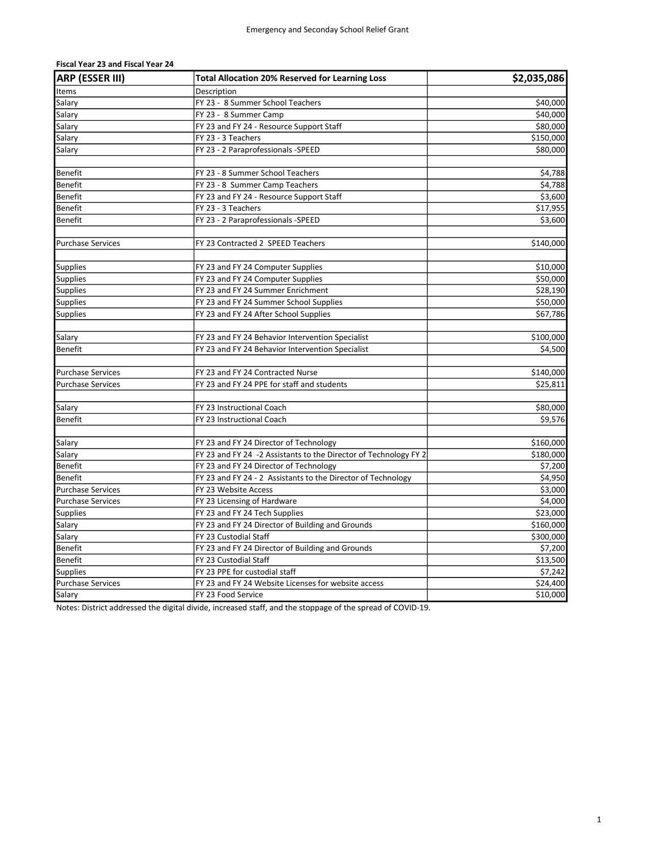| ARP (ESSER III)          | <b>Total Allocation 20% Reserved for Learning Loss</b>           | \$2,035,086 |
|--------------------------|------------------------------------------------------------------|-------------|
| <b>Items</b>             | Description                                                      |             |
| Salary                   | FY 23 - 8 Summer School Teachers                                 | \$40,000    |
| Salary                   | FY 23 - 8 Summer Camp                                            | \$40,000    |
| Salary                   | FY 23 and FY 24 - Resource Support Staff                         | \$80,000    |
| Salary                   | FY 23 - 3 Teachers                                               | \$150,000   |
| Salary                   | FY 23 - 2 Paraprofessionals -SPEED                               | \$80,000    |
|                          |                                                                  |             |
| Benefit                  | FY 23 - 8 Summer School Teachers                                 | \$4,788     |
| <b>Benefit</b>           | FY 23 - 8 Summer Camp Teachers                                   | \$4,788     |
| Benefit                  | FY 23 and FY 24 - Resource Support Staff                         | \$3,600     |
| <b>Benefit</b>           | FY 23 - 3 Teachers                                               | \$17,955    |
| Benefit                  | FY 23 - 2 Paraprofessionals -SPEED                               | \$3,600     |
|                          |                                                                  |             |
| <b>Purchase Services</b> | FY 23 Contracted 2 SPEED Teachers                                | \$140,000   |
|                          |                                                                  |             |
| <b>Supplies</b>          | FY 23 and FY 24 Computer Supplies                                | \$10,000    |
| <b>Supplies</b>          | FY 23 and FY 24 Computer Supplies                                | \$50,000    |
| <b>Supplies</b>          | FY 23 and FY 24 Summer Enrichment                                | \$28,190    |
| Supplies                 | FY 23 and FY 24 Summer School Supplies                           | \$50,000    |
| <b>Supplies</b>          | FY 23 and FY 24 After School Supplies                            | \$67,786    |
|                          |                                                                  |             |
| Salary                   | FY 23 and FY 24 Behavior Intervention Specialist                 | \$100,000   |
| <b>Benefit</b>           | FY 23 and FY 24 Behavior Intervention Specialist                 | \$4,500     |
|                          |                                                                  |             |
| <b>Purchase Services</b> | FY 23 and FY 24 Contracted Nurse                                 | \$140,000   |
| Purchase Services        | FY 23 and FY 24 PPE for staff and students                       | \$25,811    |
|                          |                                                                  |             |
| Salary                   | FY 23 Instructional Coach                                        | \$80,000    |
| <b>Benefit</b>           | FY 23 Instructional Coach                                        | \$9,576     |
|                          |                                                                  |             |
| Salary                   | FY 23 and FY 24 Director of Technology                           | \$160,000   |
| Salary                   | FY 23 and FY 24 -2 Assistants to the Director of Technology FY 2 | \$180,000   |
| Benefit                  | FY 23 and FY 24 Director of Technology                           | \$7,200     |
| <b>Benefit</b>           | FY 23 and FY 24 - 2 Assistants to the Director of Technology     | \$4,950     |
| <b>Purchase Services</b> | FY 23 Website Access                                             | \$3,000     |
| <b>Purchase Services</b> | FY 23 Licensing of Hardware                                      | \$4,000     |
| Supplies                 | FY 23 and FY 24 Tech Supplies                                    | \$23,000    |
| Salary                   | FY 23 and FY 24 Director of Building and Grounds                 | \$160,000   |
| Salary                   | FY 23 Custodial Staff                                            | \$300,000   |
| Benefit                  | FY 23 and FY 24 Director of Building and Grounds                 | \$7,200     |
| <b>Benefit</b>           | FY 23 Custodial Staff                                            | \$13,500    |
| <b>Supplies</b>          | FY 23 PPE for custodial staff                                    | \$7,242     |
| Purchase Services        | FY 23 and FY 24 Website Licenses for website access              | \$24,400    |
| Salary                   | FY 23 Food Service                                               | \$10,000    |

## Fiscal Year 23 and Fiscal Year 24

Notes: District addressed the digital divide, increased staff, and the stoppage of the spread of COVID-19.